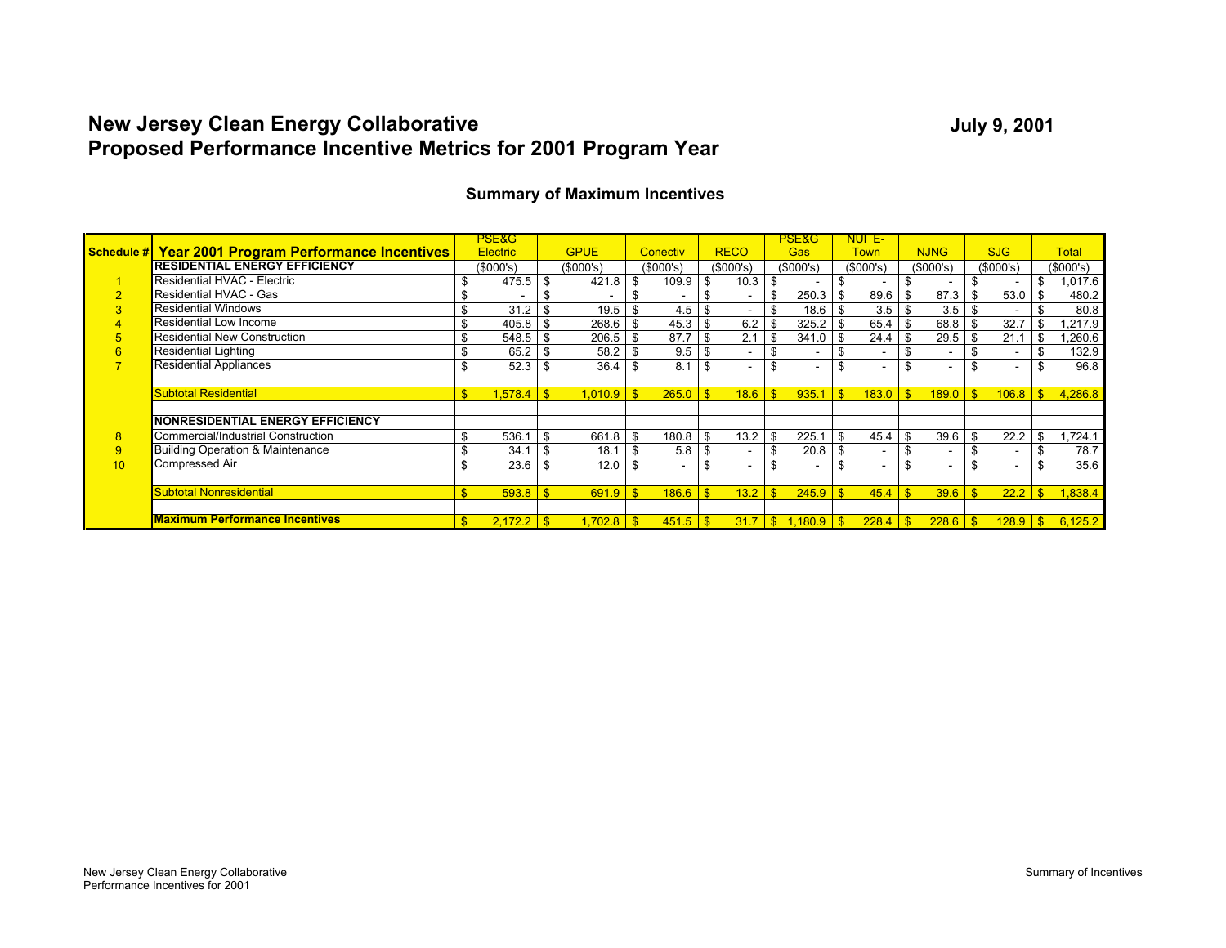# **New Jersey Clean Energy Collaborative Proposed Performance Incentive Metrics for 2001 Program Year**

|    |                                                            |              | PSE&G           |              |             |                          |           |              |                                  |          | <b>PSE&amp;G</b>      |      | NUI E-                   |                          |                          |    |                          |                      |
|----|------------------------------------------------------------|--------------|-----------------|--------------|-------------|--------------------------|-----------|--------------|----------------------------------|----------|-----------------------|------|--------------------------|--------------------------|--------------------------|----|--------------------------|----------------------|
|    | <b>Schedule # Year 2001 Program Performance Incentives</b> |              | <b>Electric</b> |              | <b>GPUE</b> |                          | Conectiv  |              | <b>RECO</b>                      |          | Gas                   |      | Town                     |                          | <b>NJNG</b>              |    | <b>SJG</b>               | <b>Total</b>         |
|    | <b>RESIDENTIAL ENERGY EFFICIENCY</b>                       |              | (\$000's)       |              | (\$000's)   |                          | (\$000's) |              | (\$000's)                        |          | (S000's)              |      | (S000's)                 |                          | (S000's)                 |    | (\$000's)                | (\$000's)            |
|    | Residential HVAC - Electric                                |              | 475.5           | - \$         | 421.8       | - \$                     | 109.9     |              | 10.3                             | - \$     |                       |      |                          | \$                       |                          | \$ | $\overline{\phantom{0}}$ | \$<br>1,017.6        |
|    | Residential HVAC - Gas                                     |              |                 | £.           |             | -\$                      | ٠         |              |                                  | \$       | 250.3                 | -\$  | 89.6                     | l \$                     | 87.3                     | \$ | 53.0                     | \$<br>480.2          |
|    | <b>Residential Windows</b>                                 | \$           | 31.2            | \$           | 19.5        | - \$                     |           |              |                                  | \$       | $18.6$ \ \$           |      | $3.5$ \$                 |                          | 3.5                      | -S | $\overline{a}$           | \$<br>80.8           |
|    | Residential Low Income                                     | \$           | 405.8           | -\$          | 268.6       | - \$                     |           |              | $6.2$ \ $$$                      |          |                       |      | 65.4                     | \$                       | 68.8                     | \$ | 32.7                     | ,217.9               |
|    | <b>Residential New Construction</b>                        | \$           | 548.5           | -\$          | 206.5       | - \$                     | 87.7      |              | 2.1                              | <b>S</b> | 341.0                 | l \$ | 24.4                     | - \$                     | 29.5                     | \$ | 21.1                     | \$<br>,260.6         |
|    | <b>Residential Lighting</b>                                |              | 65.2            |              | 58.2        | - \$                     | 9.5       |              |                                  | \$       |                       | -\$  |                          | \$.                      | $\overline{\phantom{a}}$ | -S | $\overline{\phantom{a}}$ | \$<br>132.9          |
|    | <b>Residential Appliances</b>                              | \$           | 52.3            | \$           | 36.4        | - \$                     | 8.1       | -\$          |                                  | \$       | ٠                     | \$   | $\overline{\phantom{0}}$ | \$                       | $\overline{\phantom{a}}$ | \$ | ۰                        | \$<br>96.8           |
|    |                                                            |              |                 |              |             |                          |           |              |                                  |          |                       |      |                          |                          |                          |    |                          |                      |
|    | <b>Subtotal Residential</b>                                | $\mathbf{s}$ | 1.578.4         | $\mathbf{s}$ | 1.010.9     | $\overline{\phantom{a}}$ | 265.0     |              | $18.6$ $\sqrt{5}$                |          | $935.1$ $\frac{8}{3}$ |      | $183.0$ $\sqrt{5}$       |                          | $189.0$ $\sqrt{5}$       |    |                          | 4,286.8              |
|    |                                                            |              |                 |              |             |                          |           |              |                                  |          |                       |      |                          |                          |                          |    |                          |                      |
|    | <b>NONRESIDENTIAL ENERGY EFFICIENCY</b>                    |              |                 |              |             |                          |           |              |                                  |          |                       |      |                          |                          |                          |    |                          |                      |
| 8  | Commercial/Industrial Construction                         | \$           | 536.1           | \$           | 661.8       | - \$                     | 180.8     | \$           |                                  |          | 225.1                 | - \$ | 45.4                     | l \$                     | 39.6                     | \$ | 22.2                     | \$<br>1,724.1        |
| 9  | <b>Building Operation &amp; Maintenance</b>                |              | 34.1            |              | 18.1        | -\$                      | 5.8       | \$           |                                  | \$       | 20.8                  | -\$  |                          | \$                       | $\sim$                   | \$ | $\sim$                   | \$<br>78.7           |
| 10 | Compressed Air                                             | \$           | 23.6            | \$           | 12.0        | - \$                     | -         | S            |                                  | \$       |                       | \$   | $\overline{\phantom{a}}$ | \$                       | $\overline{\phantom{a}}$ | \$ | $\overline{\phantom{a}}$ | \$<br>35.6           |
|    |                                                            |              |                 |              |             |                          |           |              |                                  |          |                       |      |                          |                          |                          |    |                          |                      |
|    | <b>Subtotal Nonresidential</b>                             | $\mathbf{s}$ | 593.8           | $\mathbf{s}$ | 691.9       | $\overline{\phantom{a}}$ | 186.6     | $\mathbf{s}$ | $13.2$ $\overline{\phantom{1}5}$ |          |                       |      | 45.4                     | $\overline{\phantom{a}}$ | $39.6$ \$                |    | 22.2                     | \$<br>1,838.4        |
|    |                                                            |              |                 |              |             |                          |           |              |                                  |          |                       |      |                          |                          |                          |    |                          |                      |
|    | <b>Maximum Performance Incentives</b>                      | $\mathbf{s}$ | 2,172.2         | $\sqrt{s}$   | 1,702.8     | $\overline{\phantom{a}}$ | 451.5     | $\mathbf{s}$ |                                  |          | $31.7$ \$ 1,180.9 \$  |      | 228.4                    | $\sqrt{3}$               |                          |    |                          | $128.9$ \ \$ 6,125.2 |

#### **Summary of Maximum Incentives**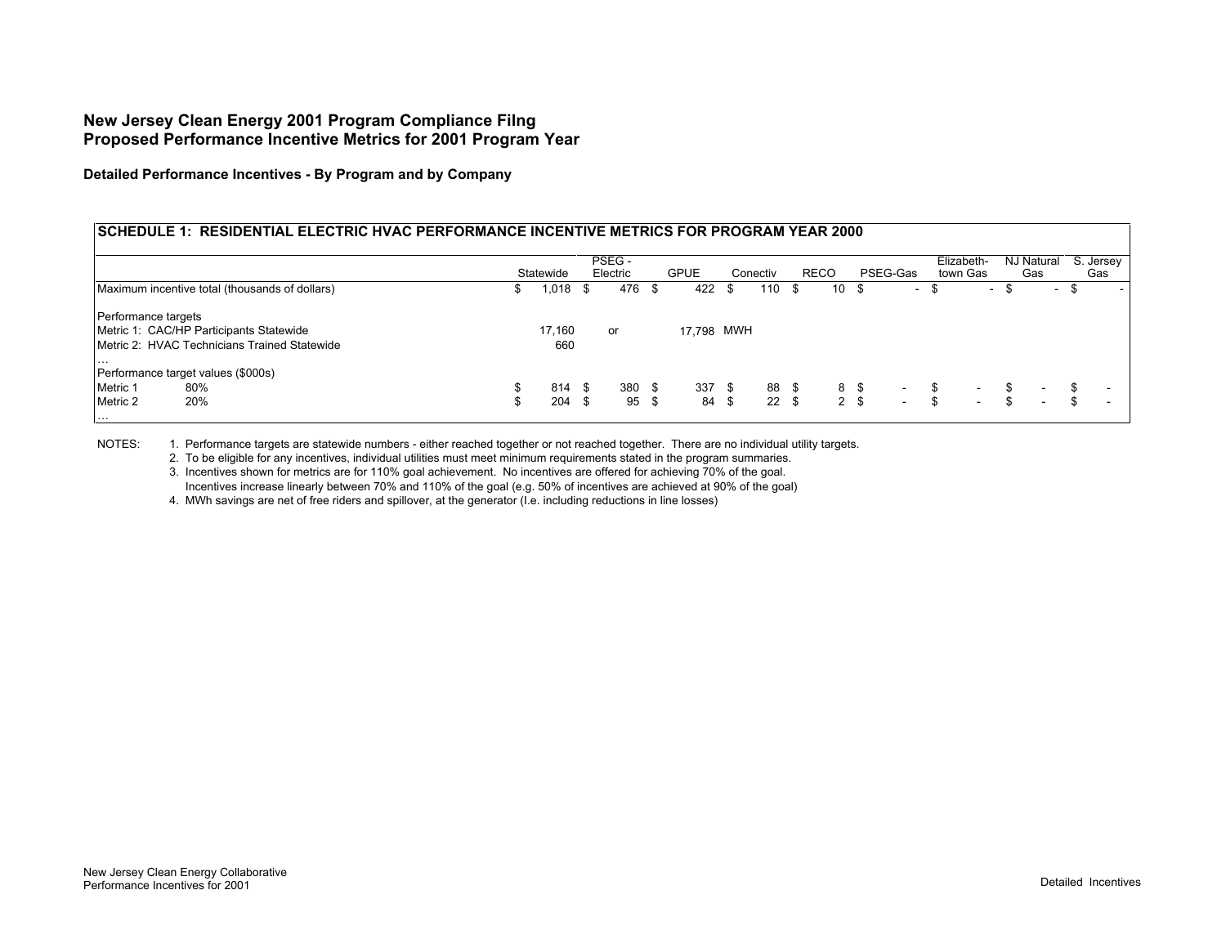**Detailed Performance Incentives - By Program and by Company**

#### **SCHEDULE 1: RESIDENTIAL ELECTRIC HVAC PERFORMANCE INCENTIVE METRICS FOR PROGRAM YEAR 2000**

|                     |                                                |    |           |      | PSEG -   |      |             |          |       |             |                |      |          |     | Elizabeth-               | NJ Natural                     | S. Jersev |
|---------------------|------------------------------------------------|----|-----------|------|----------|------|-------------|----------|-------|-------------|----------------|------|----------|-----|--------------------------|--------------------------------|-----------|
|                     |                                                |    | Statewide |      | Electric |      | <b>GPUE</b> | Conectiv |       | <b>RECO</b> |                |      | PSEG-Gas |     | town Gas                 | Gas                            | Gas       |
|                     | Maximum incentive total (thousands of dollars) |    | 1,018 \$  |      | 476      | - \$ | 422         |          | 110S  |             | 10             | - \$ | $\sim$   | -56 | $\sim$                   | $\sim$                         |           |
| Performance targets |                                                |    |           |      |          |      |             |          |       |             |                |      |          |     |                          |                                |           |
|                     | Metric 1: CAC/HP Participants Statewide        |    | 17,160    |      | or       |      | 17,798 MWH  |          |       |             |                |      |          |     |                          |                                |           |
|                     | Metric 2: HVAC Technicians Trained Statewide   |    | 660       |      |          |      |             |          |       |             |                |      |          |     |                          |                                |           |
| $\cdots$            |                                                |    |           |      |          |      |             |          |       |             |                |      |          |     |                          |                                |           |
|                     | Performance target values (\$000s)             |    |           |      |          |      |             |          |       |             |                |      |          |     |                          |                                |           |
| Metric 1            | 80%                                            | \$ | 814       | - \$ | 380      | - \$ | 337S        |          | 88 \$ |             | 8\$            |      | $\sim$   | S   | $\overline{\phantom{0}}$ | $\sim$                         |           |
| Metric 2            | 20%                                            | S  | 204       | - \$ | 95       | - \$ | 84 \$       |          | 22S   |             | 2 <sup>5</sup> |      | $\sim$   | \$  | $\overline{\phantom{0}}$ | \$<br>$\overline{\phantom{a}}$ |           |
| .                   |                                                |    |           |      |          |      |             |          |       |             |                |      |          |     |                          |                                |           |

NOTES: 1. Performance targets are statewide numbers - either reached together or not reached together. There are no individual utility targets.

2. To be eligible for any incentives, individual utilities must meet minimum requirements stated in the program summaries.

3. Incentives shown for metrics are for 110% goal achievement. No incentives are offered for achieving 70% of the goal. Incentives increase linearly between 70% and 110% of the goal (e.g. 50% of incentives are achieved at 90% of the goal)

4. MWh savings are net of free riders and spillover, at the generator (I.e. including reductions in line losses)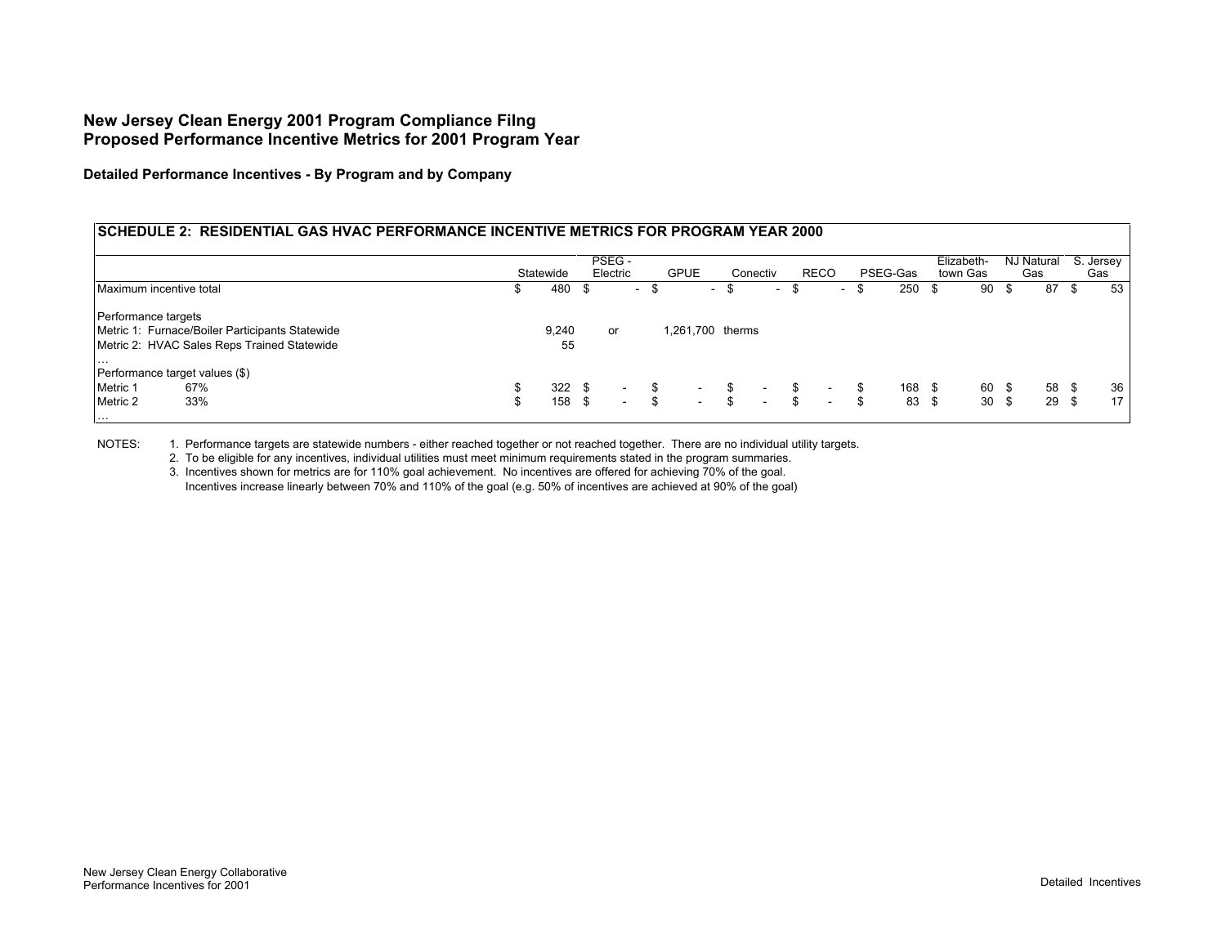**Detailed Performance Incentives - By Program and by Company**

#### **SCHEDULE 2: RESIDENTIAL GAS HVAC PERFORMANCE INCENTIVE METRICS FOR PROGRAM YEAR 2000**

|                         |                                                 |   |           | PSEG -   |      |                  |              |        |               |             | Elizabeth- |       |     | NJ Natural |      | S. Jersey |
|-------------------------|-------------------------------------------------|---|-----------|----------|------|------------------|--------------|--------|---------------|-------------|------------|-------|-----|------------|------|-----------|
|                         |                                                 |   | Statewide | Electric |      | <b>GPUE</b>      | Conectiv     |        | <b>RECO</b>   | PSEG-Gas    | town Gas   |       |     | Gas        |      | Gas       |
| Maximum incentive total |                                                 |   | 480       | $\sim$   | - 56 | $\sim$           | . ა          | $\sim$ | $\sim$        | 250         | - \$       | 90    |     | 87         | - \$ | 53        |
| Performance targets     |                                                 |   |           |          |      |                  |              |        |               |             |            |       |     |            |      |           |
|                         | Metric 1: Furnace/Boiler Participants Statewide |   | 9,240     | or       |      | 1,261,700 therms |              |        |               |             |            |       |     |            |      |           |
|                         | Metric 2: HVAC Sales Reps Trained Statewide     |   | 55        |          |      |                  |              |        |               |             |            |       |     |            |      |           |
| $\cdots$                |                                                 |   |           |          |      |                  |              |        |               |             |            |       |     |            |      |           |
|                         | Performance target values (\$)                  |   |           |          |      |                  |              |        |               |             |            |       |     |            |      |           |
| Metric 1                | 67%                                             |   | 322S      | $\sim$   | \$   | $\sim$           | $\sim$       |        | \$.<br>$\sim$ | 168 \$      |            | 60 \$ |     | 58 \$      |      | 36        |
| Metric 2                | 33%                                             | ა | 158 \$    | $\sim$   | \$   | $\sim$           | \$<br>$\sim$ |        | $\sim$        | \$<br>83 \$ |            | 30    | -\$ | 29S        |      | 171       |
| $\cdots$                |                                                 |   |           |          |      |                  |              |        |               |             |            |       |     |            |      |           |

NOTES: 1. Performance targets are statewide numbers - either reached together or not reached together. There are no individual utility targets.

2. To be eligible for any incentives, individual utilities must meet minimum requirements stated in the program summaries.

3. Incentives shown for metrics are for 110% goal achievement. No incentives are offered for achieving 70% of the goal. Incentives increase linearly between 70% and 110% of the goal (e.g. 50% of incentives are achieved at 90% of the goal)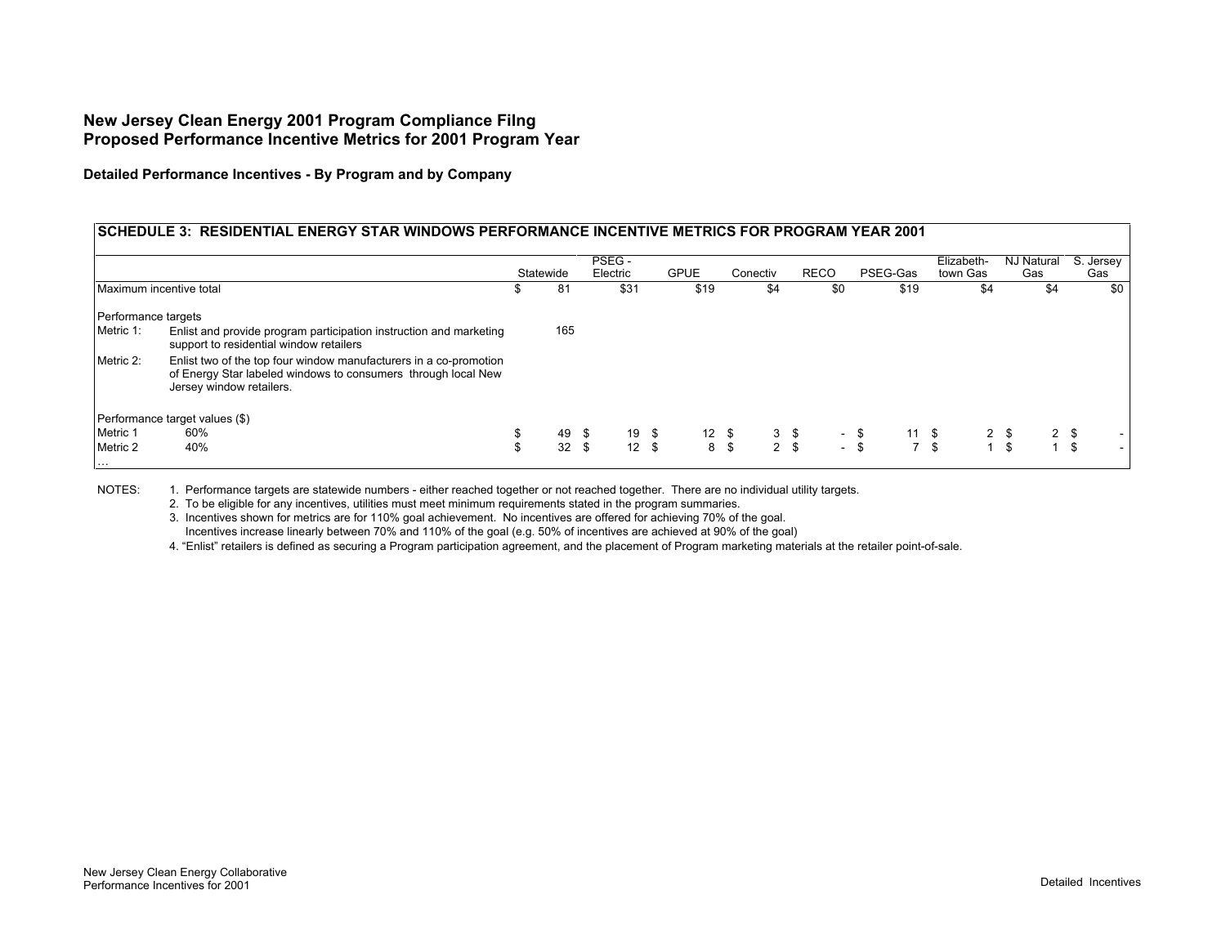**Detailed Performance Incentives - By Program and by Company**

## **SCHEDULE 3: RESIDENTIAL ENERGY STAR WINDOWS PERFORMANCE INCENTIVE METRICS FOR PROGRAM YEAR 2001**

|                                  |                                                                                                                                                                | Statewide |     | PSEG -<br>Electric |               | <b>GPUE</b>   | Conectiv |                | <b>RECO</b> | PSEG-Gas              | Elizabeth-<br>town Gas | NJ Natural<br>Gas              | S. Jersey<br>Gas |
|----------------------------------|----------------------------------------------------------------------------------------------------------------------------------------------------------------|-----------|-----|--------------------|---------------|---------------|----------|----------------|-------------|-----------------------|------------------------|--------------------------------|------------------|
| Maximum incentive total          |                                                                                                                                                                | ъ         | -81 |                    | \$31          | \$19          |          | \$4            | \$0         | \$19                  | \$4                    | \$4                            | \$0              |
| Performance targets              |                                                                                                                                                                |           |     |                    |               |               |          |                |             |                       |                        |                                |                  |
| Metric 1:                        | Enlist and provide program participation instruction and marketing<br>support to residential window retailers                                                  |           | 165 |                    |               |               |          |                |             |                       |                        |                                |                  |
| Metric 2:                        | Enlist two of the top four window manufacturers in a co-promotion<br>of Energy Star labeled windows to consumers through local New<br>Jersey window retailers. |           |     |                    |               |               |          |                |             |                       |                        |                                |                  |
|                                  | Performance target values (\$)                                                                                                                                 |           |     |                    |               |               |          |                |             |                       |                        |                                |                  |
| Metric 1                         | 60%                                                                                                                                                            | \$        | 49  | - \$               | 19 \$         | $12 \quad$ \$ |          | $3 \sqrt{3}$   |             | - \$<br>$11 \quad$ \$ |                        | 2 <sup>5</sup><br>$2 \sqrt{3}$ |                  |
| Metric 2<br>$\sim$ $\sim$ $\sim$ | 40%                                                                                                                                                            | \$        | 32  |                    | $12 \quad$ \$ |               | 8 \$     | 2 <sup>5</sup> |             | $-$ \$                | 7S                     | 1 S<br>$\overline{ }$          | - \$             |

NOTES: 1. Performance targets are statewide numbers - either reached together or not reached together. There are no individual utility targets.

2. To be eligible for any incentives, utilities must meet minimum requirements stated in the program summaries.

3. Incentives shown for metrics are for 110% goal achievement. No incentives are offered for achieving 70% of the goal. Incentives increase linearly between 70% and 110% of the goal (e.g. 50% of incentives are achieved at 90% of the goal)

4. "Enlist" retailers is defined as securing a Program participation agreement, and the placement of Program marketing materials at the retailer point-of-sale.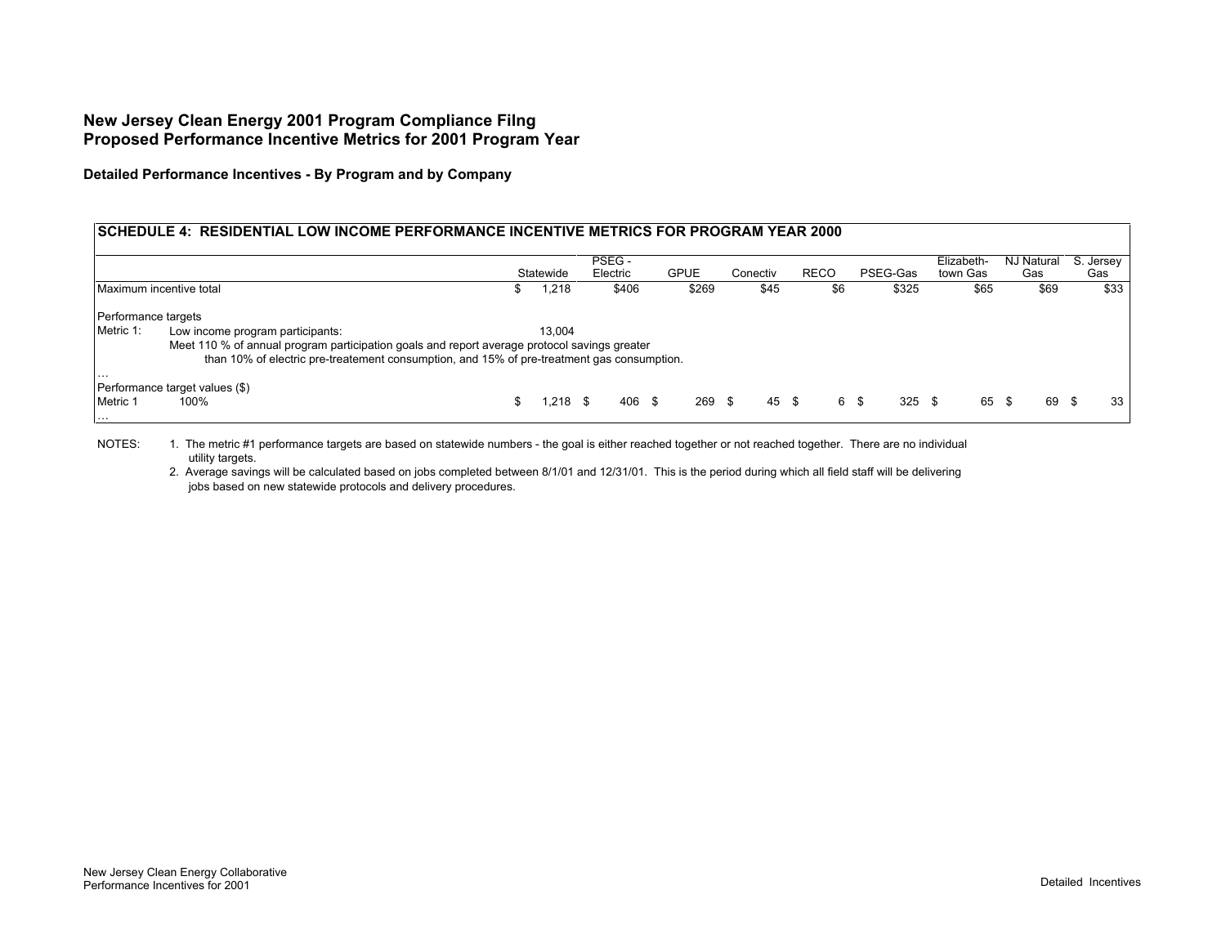**Detailed Performance Incentives - By Program and by Company**

### **SCHEDULE 4: RESIDENTIAL LOW INCOME PERFORMANCE INCENTIVE METRICS FOR PROGRAM YEAR 2000**

|                         |                                                                                              |            | PSEG -   |                  |          |             |                  | Elizabeth- | NJ Natural    | S. Jersey |
|-------------------------|----------------------------------------------------------------------------------------------|------------|----------|------------------|----------|-------------|------------------|------------|---------------|-----------|
|                         |                                                                                              | Statewide  | Electric | <b>GPUE</b>      | Conectiv | <b>RECO</b> | PSEG-Gas         | town Gas   | Gas           | Gas       |
| Maximum incentive total |                                                                                              | .218       | \$406    | \$269            | \$45     | \$6         | \$325            | \$65       | \$69          | \$33      |
| Performance targets     |                                                                                              |            |          |                  |          |             |                  |            |               |           |
| Metric 1:               | Low income program participants:                                                             | 13.004     |          |                  |          |             |                  |            |               |           |
|                         | Meet 110 % of annual program participation goals and report average protocol savings greater |            |          |                  |          |             |                  |            |               |           |
|                         | than 10% of electric pre-treatement consumption, and 15% of pre-treatment gas consumption.   |            |          |                  |          |             |                  |            |               |           |
| .                       | Performance target values (\$)                                                               |            |          |                  |          |             |                  |            |               |           |
| Metric 1                | 100%                                                                                         | $1,218$ \$ | 406      | $269$ \$<br>- \$ |          | 45 \$       | $325$ \$<br>6 \$ | 65         | 69 \$<br>- \$ | 33        |

NOTES: 1. The metric #1 performance targets are based on statewide numbers - the goal is either reached together or not reached together. There are no individual utility targets.

2. Average savings will be calculated based on jobs completed between 8/1/01 and 12/31/01. This is the period during which all field staff will be delivering jobs based on new statewide protocols and delivery procedures.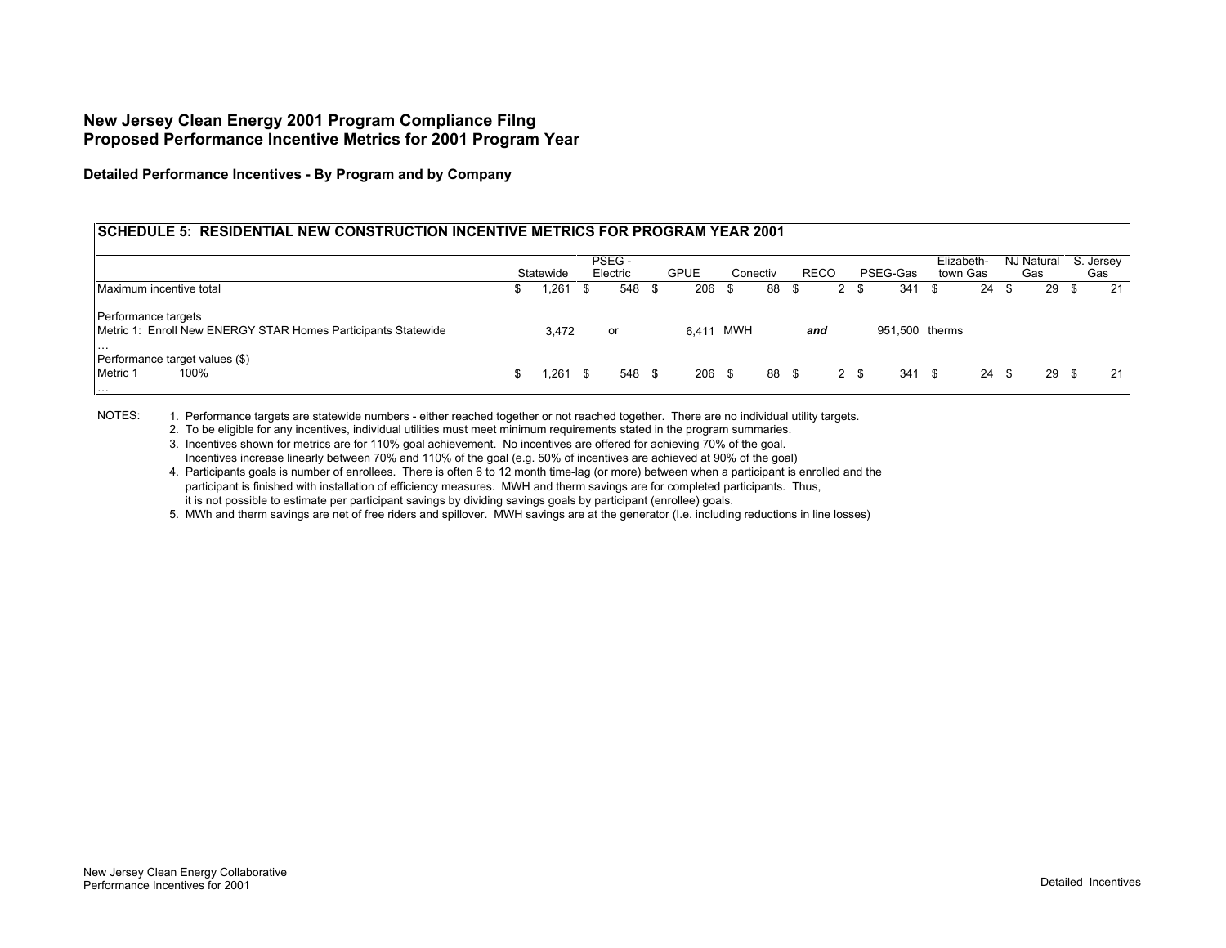**Detailed Performance Incentives - By Program and by Company**

#### **SCHEDULE 5: RESIDENTIAL NEW CONSTRUCTION INCENTIVE METRICS FOR PROGRAM YEAR 2001**

|                                                                                                  |           | PSEG -   |      |             |          |       |             |      |                | Elizabeth- |               |     | NJ Natural | S. Jersey |
|--------------------------------------------------------------------------------------------------|-----------|----------|------|-------------|----------|-------|-------------|------|----------------|------------|---------------|-----|------------|-----------|
|                                                                                                  | Statewide | Electric |      | <b>GPUE</b> | Conectiv |       | <b>RECO</b> |      | PSEG-Gas       | town Gas   |               |     | Gas        | Gas       |
| Maximum incentive total                                                                          | 261.      | 548      | - \$ | 206         |          | 88 \$ |             | 2 \$ | 341            |            | 24            | -55 | 29 \$      | 21        |
| Performance targets<br>Metric 1: Enroll New ENERGY STAR Homes Participants Statewide<br>$\cdots$ | 3,472     | or       |      | 6.411 MWH   |          |       | and         |      | 951,500 therms |            |               |     |            |           |
| Performance target values (\$)<br>Metric 1<br>100%<br>.                                          | 261.      | 548      | - \$ | $206$ \$    |          | 88 \$ |             | 2 \$ | 341            | - \$       | $24 \quad$ \$ |     | 29 \$      | 21        |

NOTES: 1. Performance targets are statewide numbers - either reached together or not reached together. There are no individual utility targets.

2. To be eligible for any incentives, individual utilities must meet minimum requirements stated in the program summaries.

- 3. Incentives shown for metrics are for 110% goal achievement. No incentives are offered for achieving 70% of the goal. Incentives increase linearly between 70% and 110% of the goal (e.g. 50% of incentives are achieved at 90% of the goal)
- 4. Participants goals is number of enrollees. There is often 6 to 12 month time-lag (or more) between when a participant is enrolled and the participant is finished with installation of efficiency measures. MWH and therm savings are for completed participants. Thus, it is not possible to estimate per participant savings by dividing savings goals by participant (enrollee) goals.

5. MWh and therm savings are net of free riders and spillover. MWH savings are at the generator (I.e. including reductions in line losses)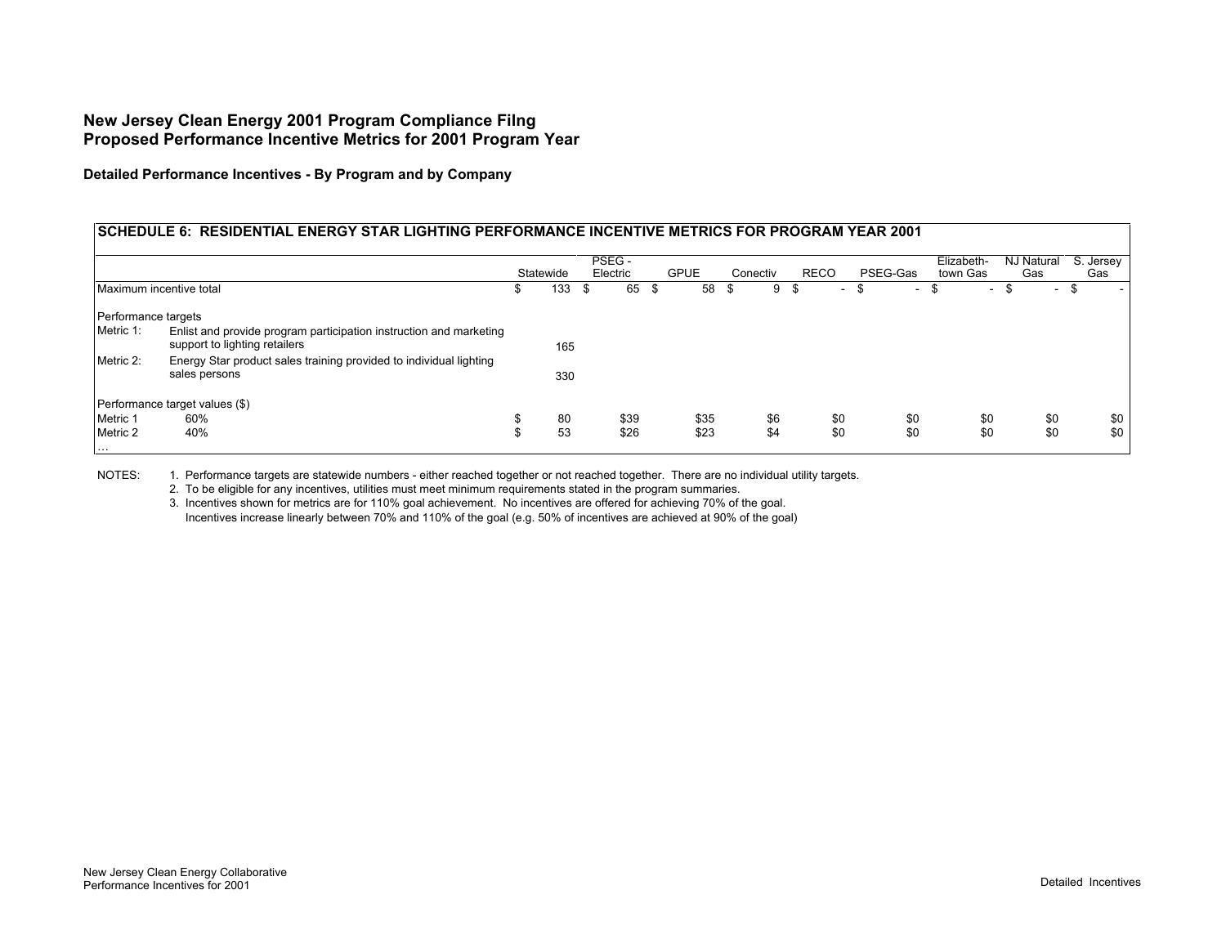**Detailed Performance Incentives - By Program and by Company**

#### **SCHEDULE 6: RESIDENTIAL ENERGY STAR LIGHTING PERFORMANCE INCENTIVE METRICS FOR PROGRAM YEAR 2001 Statewide** PSEG - Electric GPUE Conectiv RECO PSEG-Gas Elizabeth-Elizabeth- NJ Natural S. Jersey<br>town Gas Gas Gas Maximum incentive total **120 a. 133 component 120 a. 133 \$ 65 \$ 58 \$ 9 \$ - \$** - \$ - \$ - \$ Performance targets Metric 1: 165 Metric 2: 330 Performance target values (\$)<br>Metric 1 60% Energy Star product sales training provided to individual lighting sales persons Enlist and provide program participation instruction and marketing support to lighting retailers

Metric 1 60% \$ 80 \$39 \$35 \$6 \$0 \$0 \$0 \$0 \$0 Metric 2 40% \$ 53 \$26 \$23 \$4 \$0 \$0 \$0 \$0 \$0

NOTES: 1. Performance targets are statewide numbers - either reached together or not reached together. There are no individual utility targets.

2. To be eligible for any incentives, utilities must meet minimum requirements stated in the program summaries.

3. Incentives shown for metrics are for 110% goal achievement. No incentives are offered for achieving 70% of the goal. Incentives increase linearly between 70% and 110% of the goal (e.g. 50% of incentives are achieved at 90% of the goal)

…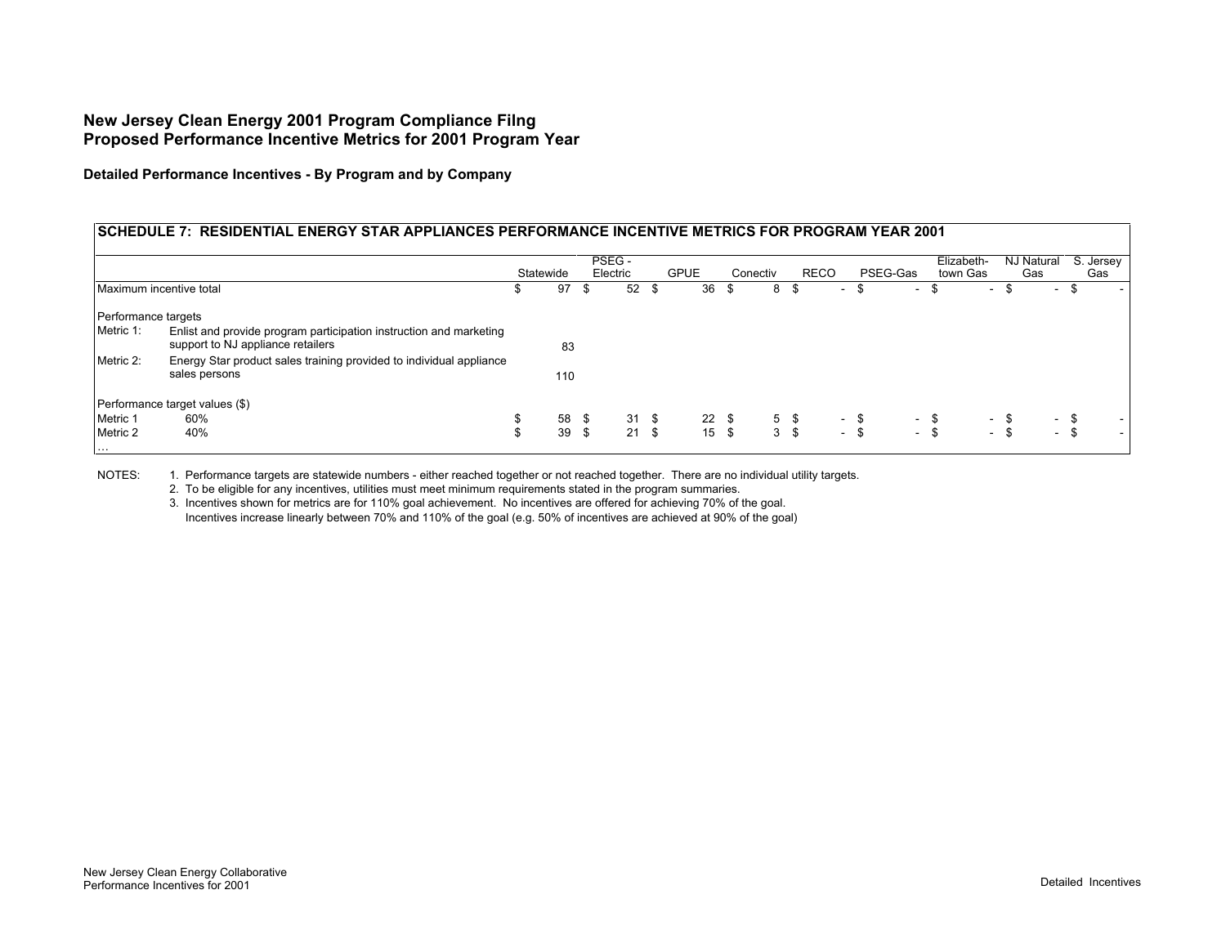**Detailed Performance Incentives - By Program and by Company**

#### **SCHEDULE 7: RESIDENTIAL ENERGY STAR APPLIANCES PERFORMANCE INCENTIVE METRICS FOR PROGRAM YEAR 2001**

|                         |                                                                                                         |           |     |      | PSEG -   |               |             |            |          |           |             |      |          |      | Elizabeth-   | NJ Natural |            | S. Jersey |   |
|-------------------------|---------------------------------------------------------------------------------------------------------|-----------|-----|------|----------|---------------|-------------|------------|----------|-----------|-------------|------|----------|------|--------------|------------|------------|-----------|---|
|                         |                                                                                                         | Statewide |     |      | Electric |               | <b>GPUE</b> |            | Conectiv |           | <b>RECO</b> |      | PSEG-Gas |      | town Gas     | Gas        |            | Gas       |   |
| Maximum incentive total |                                                                                                         | ъ.        | 97  | Ъ    | 52       | - \$          | 36          | .৯         | 8        | ა         | $\sim$      | ъ    | $\sim$   | -95  | <b>умера</b> |            | <b>COL</b> |           | - |
| Performance targets     |                                                                                                         |           |     |      |          |               |             |            |          |           |             |      |          |      |              |            |            |           |   |
| Metric 1:               | Enlist and provide program participation instruction and marketing<br>support to NJ appliance retailers |           | 83  |      |          |               |             |            |          |           |             |      |          |      |              |            |            |           |   |
| Metric 2:               | Energy Star product sales training provided to individual appliance<br>sales persons                    |           | 110 |      |          |               |             |            |          |           |             |      |          |      |              |            |            |           |   |
|                         | Performance target values (\$)                                                                          |           |     |      |          |               |             |            |          |           |             |      |          |      |              |            |            |           |   |
| Metric 1                | 60%                                                                                                     | Φ         | 58  | - \$ |          | $31 \quad$ \$ |             | $22 \quad$ |          | $5 \quad$ | $\sim$      | -\$  |          | - \$ |              | - \$       | $\sim$     | -\$       |   |
| Metric 2                | 40%                                                                                                     | ъ         | 39  | - \$ |          | $21 \quad $$  |             | 15S        |          | 3S        | $\sim$      | - \$ |          | - \$ |              | $-$ \$     | $\sim$     | - \$      |   |

NOTES: 1. Performance targets are statewide numbers - either reached together or not reached together. There are no individual utility targets.

2. To be eligible for any incentives, utilities must meet minimum requirements stated in the program summaries.

3. Incentives shown for metrics are for 110% goal achievement. No incentives are offered for achieving 70% of the goal. Incentives increase linearly between 70% and 110% of the goal (e.g. 50% of incentives are achieved at 90% of the goal)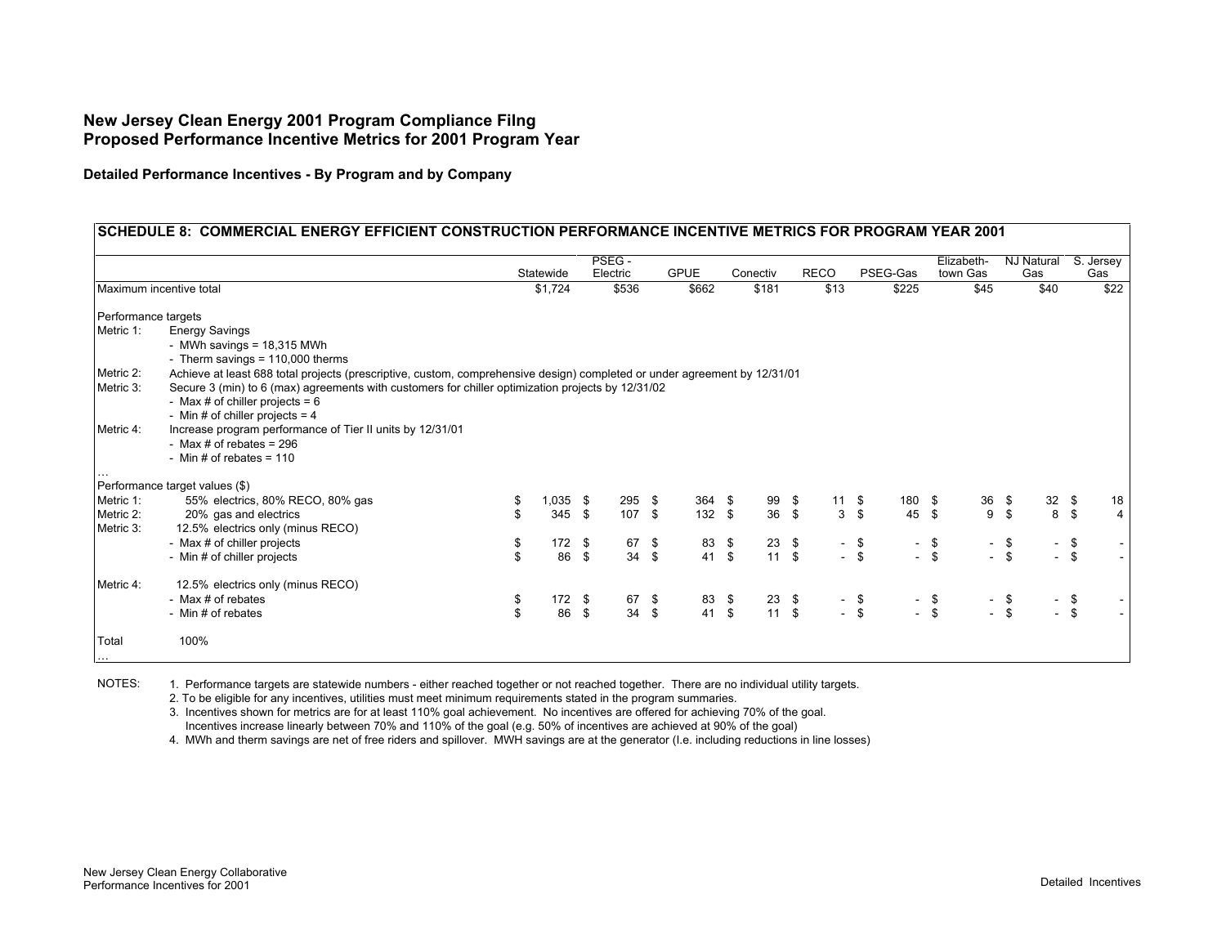**Detailed Performance Incentives - By Program and by Company**

|                        |                                                                                                                                                                                                                                                                                                          |                | PSEG -     |             |              |               |             |                |          |        |        | Elizabeth- |                  | <b>NJ Natural</b> |          | S. Jersey      |
|------------------------|----------------------------------------------------------------------------------------------------------------------------------------------------------------------------------------------------------------------------------------------------------------------------------------------------------|----------------|------------|-------------|--------------|---------------|-------------|----------------|----------|--------|--------|------------|------------------|-------------------|----------|----------------|
|                        |                                                                                                                                                                                                                                                                                                          | Statewide      | Electric   | <b>GPUE</b> |              | Conectiv      | <b>RECO</b> |                | PSEG-Gas |        |        | town Gas   |                  | Gas               |          | Gas            |
|                        | Maximum incentive total                                                                                                                                                                                                                                                                                  | \$1,724        | \$536      |             | \$662        | \$181         | \$13        |                |          | \$225  |        | \$45       |                  | \$40              |          | \$22           |
| Performance targets    |                                                                                                                                                                                                                                                                                                          |                |            |             |              |               |             |                |          |        |        |            |                  |                   |          |                |
| Metric 1:              | <b>Energy Savings</b><br>- MWh savings = $18,315$ MWh<br>- Therm savings = $110,000$ therms                                                                                                                                                                                                              |                |            |             |              |               |             |                |          |        |        |            |                  |                   |          |                |
| Metric 2:<br>Metric 3: | Achieve at least 688 total projects (prescriptive, custom, comprehensive design) completed or under agreement by 12/31/01<br>Secure 3 (min) to 6 (max) agreements with customers for chiller optimization projects by 12/31/02<br>- Max # of chiller projects = $6$<br>- Min # of chiller projects = $4$ |                |            |             |              |               |             |                |          |        |        |            |                  |                   |          |                |
| Metric 4:              | Increase program performance of Tier II units by 12/31/01<br>- Max # of rebates = $296$<br>- Min # of rebates = $110$                                                                                                                                                                                    |                |            |             |              |               |             |                |          |        |        |            |                  |                   |          |                |
|                        | Performance target values (\$)                                                                                                                                                                                                                                                                           |                |            |             |              |               |             |                |          |        |        |            |                  |                   |          |                |
| Metric 1:              | 55% electrics, 80% RECO, 80% gas                                                                                                                                                                                                                                                                         | $1,035$ \$     | $295$ \$   |             | 364 \$       | 99 \$         |             | $11 \quad$ \$  |          | 180 \$ |        | 36 \$      |                  | 32 <sup>5</sup>   |          | 18             |
| Metric 2:<br>Metric 3: | 20% gas and electrics<br>12.5% electrics only (minus RECO)                                                                                                                                                                                                                                               | 345S           | 107 \$     |             | 132S         | 36 \$         |             | 3 <sup>5</sup> |          | 45 \$  |        | 9          | $\mathbf{s}$     |                   | $8\quad$ | 4 <sup>1</sup> |
|                        | - Max # of chiller projects                                                                                                                                                                                                                                                                              | \$<br>$172$ \$ | 67 \$      |             | 83 \$        | $23 \quad $$  |             | - \$           |          | $\sim$ | - \$   |            | $-$ \$           | $\sim$            | \$       |                |
|                        | - Min # of chiller projects                                                                                                                                                                                                                                                                              | \$<br>86 \$    | 34S        |             | 41 \$        | 11S           |             | $-$ \$         |          |        | $-$ \$ |            | $-$ \$           |                   | $-$ \$   |                |
| Metric 4:              | 12.5% electrics only (minus RECO)                                                                                                                                                                                                                                                                        |                |            |             |              |               |             |                |          |        |        |            |                  |                   |          |                |
|                        | - Max # of rebates                                                                                                                                                                                                                                                                                       | \$<br>172 \$   | 67 \$      |             | 83 \$        | 23 \$         |             | $-$ \$         |          |        | $-$ \$ |            |                  |                   | $-$ \$   |                |
|                        | - Min # of rebates                                                                                                                                                                                                                                                                                       | \$<br>86 \$    | $34 \quad$ |             | $41 \quad $$ | $11 \quad$ \$ |             | $-$ \$         |          |        | $-$ \$ |            | $-$ \$<br>$-$ \$ |                   | $-$ \$   |                |
|                        |                                                                                                                                                                                                                                                                                                          |                |            |             |              |               |             |                |          |        |        |            |                  |                   |          |                |

NOTES: 1. Performance targets are statewide numbers - either reached together or not reached together. There are no individual utility targets.

2. To be eligible for any incentives, utilities must meet minimum requirements stated in the program summaries.

3. Incentives shown for metrics are for at least 110% goal achievement. No incentives are offered for achieving 70% of the goal.

Incentives increase linearly between 70% and 110% of the goal (e.g. 50% of incentives are achieved at 90% of the goal)

4. MWh and therm savings are net of free riders and spillover. MWH savings are at the generator (I.e. including reductions in line losses)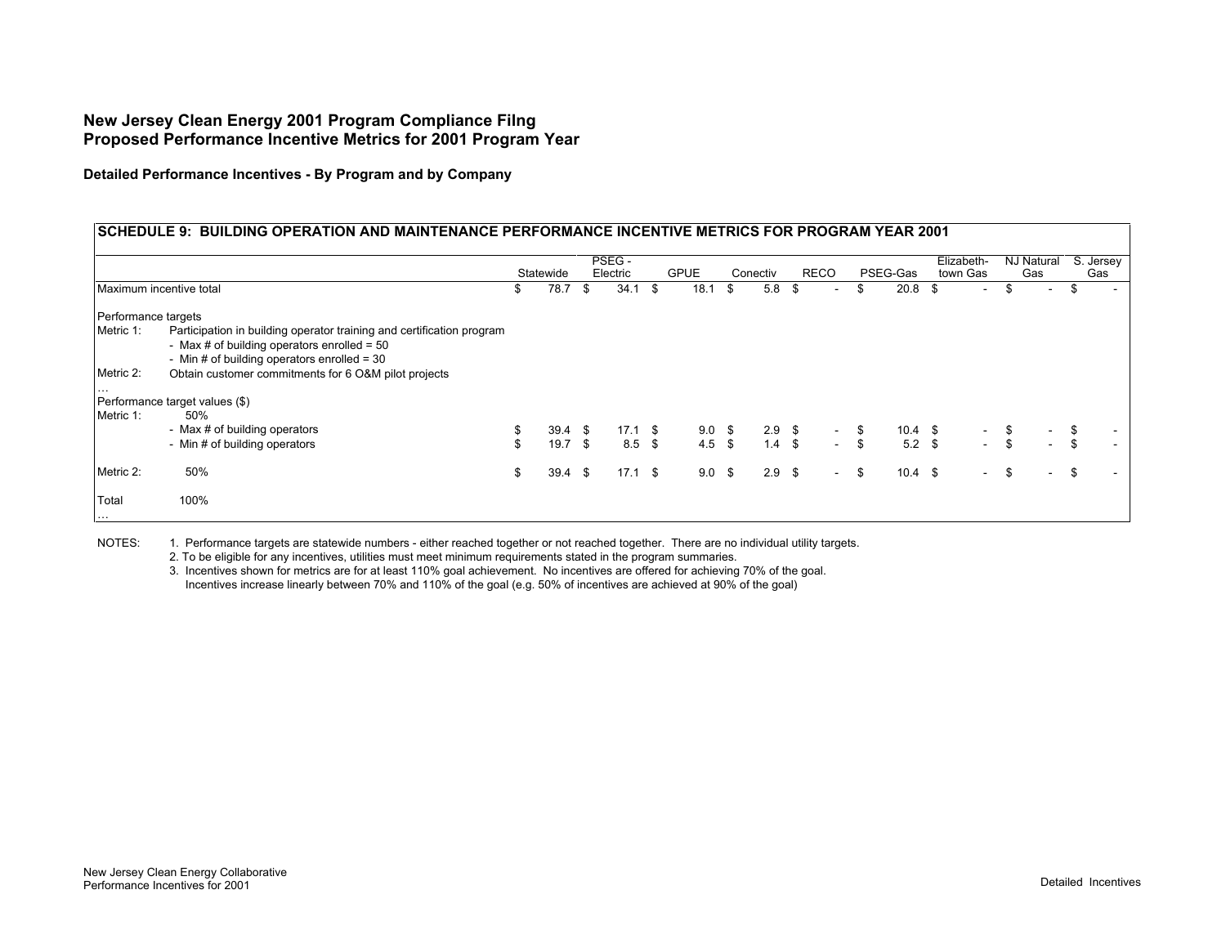**Detailed Performance Incentives - By Program and by Company**

#### **SCHEDULE 9: BUILDING OPERATION AND MAINTENANCE PERFORMANCE INCENTIVE METRICS FOR PROGRAM YEAR 2001 Statewide** PSEG - Electric GPUE Conectiv RECO PSEG-Gas Elizabeth-Elizabeth- NJ Natural S. Jersey<br>town Gas Gas Gas Maximum incentive total \$ 34.1 78.7 \$ 18.1 \$ 5.8 \$ - \$ 20.8 \$ - \$ - \$ - \$ Performance targets Metric 1: Participation in building operator training and certification program - Max  $#$  of building operators enrolled =  $50$ - Min # of building operators enrolled = 30 Metric 2: Obtain customer commitments for 6 O&M pilot projects … Performance target values (\$)<br>Metric 1: 50% Metric 1: - Max # of building operators \$ 17.1 39.4 \$ 9.0 \$ 2.9 \$ - \$ 10.4 \$ - \$ - \$ - \$ - Min # of building operators 6 19.7 \$ 8.5 \$ 4.5 \$ 1.4 \$ - \$ 5.2 \$ - \$ -Metric 2: 50% \$ 17.1 39.4 \$ 9.0 \$ 2.9 \$ - \$ 10.4 \$ - \$ - \$ - \$ Total 100%

NOTES: 1. Performance targets are statewide numbers - either reached together or not reached together. There are no individual utility targets.

2. To be eligible for any incentives, utilities must meet minimum requirements stated in the program summaries.

3. Incentives shown for metrics are for at least 110% goal achievement. No incentives are offered for achieving 70% of the goal. Incentives increase linearly between 70% and 110% of the goal (e.g. 50% of incentives are achieved at 90% of the goal)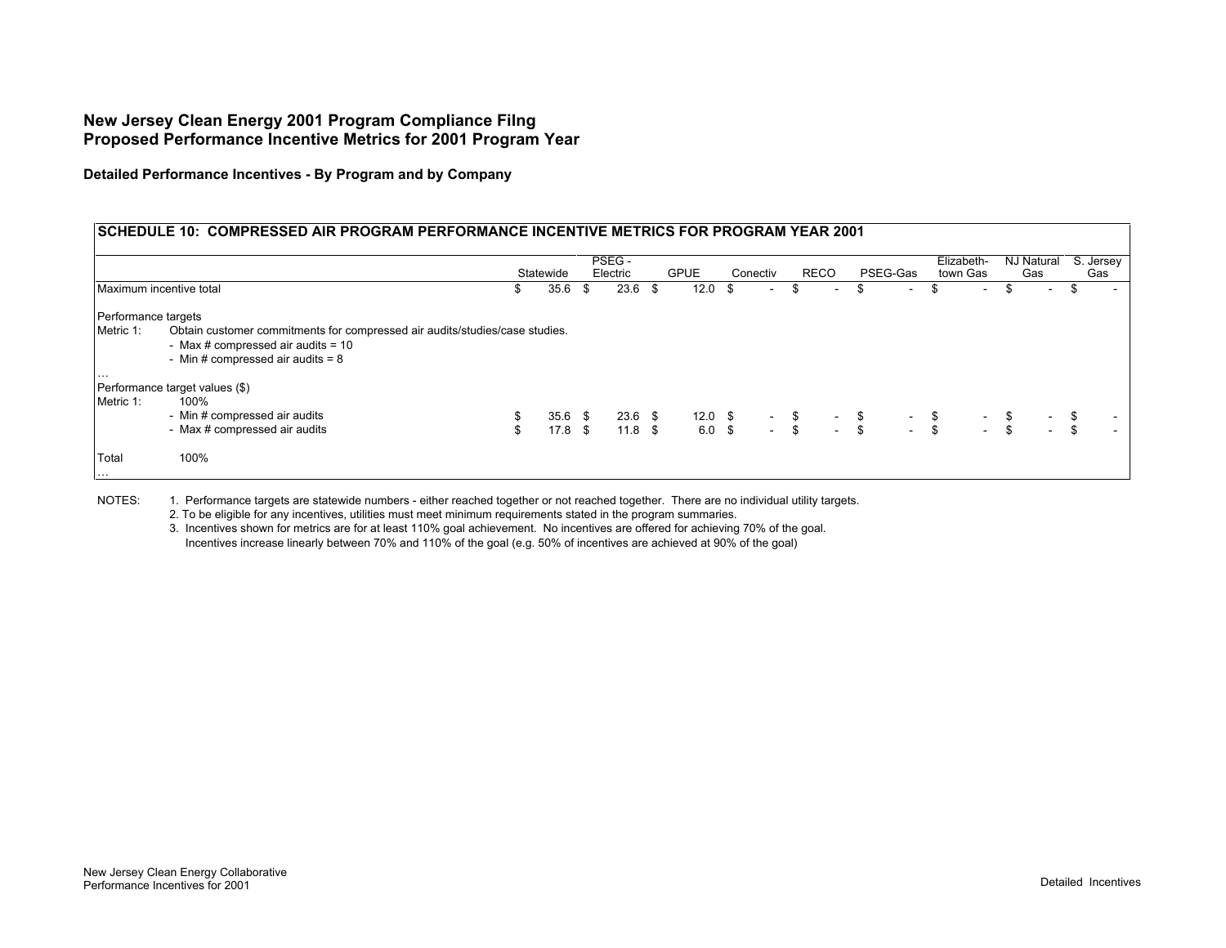**Detailed Performance Incentives - By Program and by Company**

# **SCHEDULE 10: COMPRESSED AIR PROGRAM PERFORMANCE INCENTIVE METRICS FOR PROGRAM YEAR 2001**

|                                  |                                                                                                                                                            |          | Statewide                      |     | PSEG -<br>Electric     | <b>GPUE</b>       |     | Conectiv                                         | RECO |        | PSEG-Gas                                                                                                     |                                                  | Elizabeth-<br>town Gas |                                                                    | NJ Natural<br>Gas | S. Jersey<br>Gas |
|----------------------------------|------------------------------------------------------------------------------------------------------------------------------------------------------------|----------|--------------------------------|-----|------------------------|-------------------|-----|--------------------------------------------------|------|--------|--------------------------------------------------------------------------------------------------------------|--------------------------------------------------|------------------------|--------------------------------------------------------------------|-------------------|------------------|
| Maximum incentive total          |                                                                                                                                                            | \$       | 35.6                           | -\$ | 23.6                   | \$<br>12.0        | -\$ | $\sim$                                           |      | $\sim$ | \$                                                                                                           | $\sim$                                           | \$<br>$\sim$           |                                                                    |                   | $\sim$           |
| Performance targets<br>Metric 1: | Obtain customer commitments for compressed air audits/studies/case studies.<br>- Max # compressed air audits = $10$<br>- Min # compressed air audits = $8$ |          |                                |     |                        |                   |     |                                                  |      |        |                                                                                                              |                                                  |                        |                                                                    |                   |                  |
| $\cdots$<br>Metric 1:            | Performance target values (\$)<br>100%<br>- Min # compressed air audits<br>- Max # compressed air audits                                                   | \$<br>\$ | $35.6$ \$<br>17.8 <sup>5</sup> |     | $23.6$ \$<br>$11.8$ \$ | 12.0 \$<br>6.0 \$ |     | $\begin{array}{cc} - & \$ \\ - & \$ \end{array}$ |      |        | $\begin{array}{ccc}\n\uparrow & & - & \updownarrow \\ & - & \updownarrow \\ & - & \updownarrow\n\end{array}$ | $\begin{array}{cc} - & \$ \\ - & \$ \end{array}$ |                        | $\begin{array}{cc} - & \frac{3}{5} \\ - & \frac{3}{5} \end{array}$ | $-$ \$            | $\sim$<br>$\sim$ |
| Total<br>$\cdots$                | 100%                                                                                                                                                       |          |                                |     |                        |                   |     |                                                  |      |        |                                                                                                              |                                                  |                        |                                                                    |                   |                  |

NOTES: 1. Performance targets are statewide numbers - either reached together or not reached together. There are no individual utility targets.

2. To be eligible for any incentives, utilities must meet minimum requirements stated in the program summaries.

3. Incentives shown for metrics are for at least 110% goal achievement. No incentives are offered for achieving 70% of the goal. Incentives increase linearly between 70% and 110% of the goal (e.g. 50% of incentives are achieved at 90% of the goal)